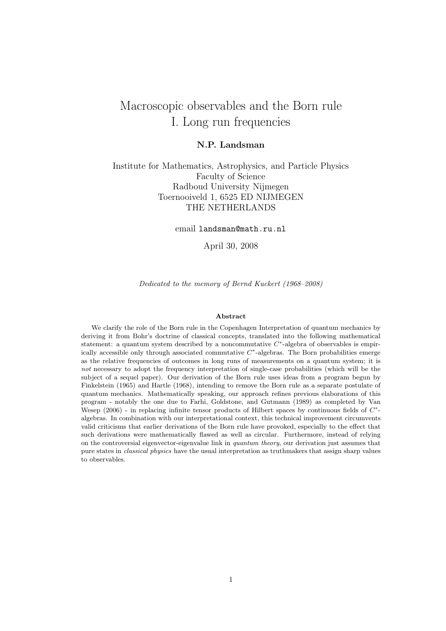# Macroscopic observables and the Born rule I. Long run frequencies

#### N.P. Landsman

### Institute for Mathematics, Astrophysics, and Particle Physics Faculty of Science Radboud University Nijmegen Toernooiveld 1, 6525 ED NIJMEGEN THE NETHERLANDS

email landsman@math.ru.nl

April 30, 2008

Dedicated to the memory of Bernd Kuckert (1968–2008)

#### Abstract

We clarify the role of the Born rule in the Copenhagen Interpretation of quantum mechanics by deriving it from Bohr's doctrine of classical concepts, translated into the following mathematical statement: a quantum system described by a noncommutative  $C^*$ -algebra of observables is empirically accessible only through associated commutative  $C^*$ -algebras. The Born probabilities emerge as the relative frequencies of outcomes in long runs of measurements on a quantum system; it is not necessary to adopt the frequency interpretation of single-case probabilities (which will be the subject of a sequel paper). Our derivation of the Born rule uses ideas from a program begun by Finkelstein (1965) and Hartle (1968), intending to remove the Born rule as a separate postulate of quantum mechanics. Mathematically speaking, our approach refines previous elaborations of this program - notably the one due to Farhi, Goldstone, and Gutmann (1989) as completed by Van Wesep  $(2006)$  - in replacing infinite tensor products of Hilbert spaces by continuous fields of  $C^*$ algebras. In combination with our interpretational context, this technical improvement circumvents valid criticisms that earlier derivations of the Born rule have provoked, especially to the effect that such derivations were mathematically flawed as well as circular. Furthermore, instead of relying on the controversial eigenvector-eigenvalue link in quantum theory, our derivation just assumes that pure states in classical physics have the usual interpretation as truthmakers that assign sharp values to observables.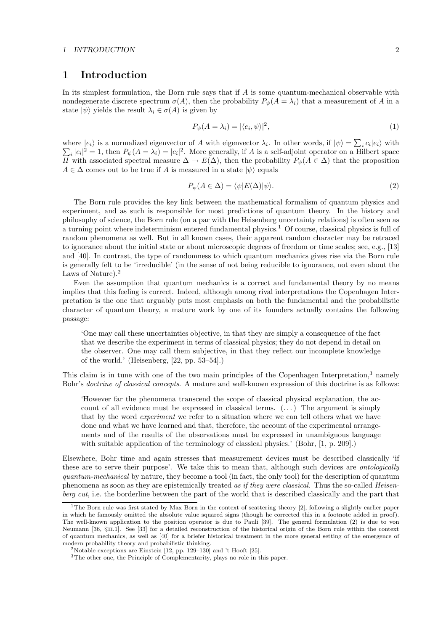#### 1 INTRODUCTION 2

### 1 Introduction

In its simplest formulation, the Born rule says that if  $A$  is some quantum-mechanical observable with nondegenerate discrete spectrum  $\sigma(A)$ , then the probability  $P_{\psi}(A = \lambda_i)$  that a measurement of A in a state  $|\psi\rangle$  yields the result  $\lambda_i \in \sigma(A)$  is given by

$$
P_{\psi}(A = \lambda_i) = |\langle e_i, \psi \rangle|^2, \tag{1}
$$

where  $|e_i\rangle$  is a normalized eigenvector of A with eigenvector  $\lambda_i$ . In other words, if  $|\psi\rangle = \sum_i c_i |e_i\rangle$  with  $\sum_i |c_i|^2 = 1$ , then  $P_\psi(A = \lambda_i) = |c_i|^2$ . More generally, if A is a self-adjoint operator on a Hilbert space H with associated spectral measure  $\Delta \mapsto E(\Delta)$ , then the probability  $P_{\psi}(A \in \Delta)$  that the proposition  $A \in \Delta$  comes out to be true if A is measured in a state  $|\psi\rangle$  equals

$$
P_{\psi}(A \in \Delta) = \langle \psi | E(\Delta) | \psi \rangle.
$$
 (2)

The Born rule provides the key link between the mathematical formalism of quantum physics and experiment, and as such is responsible for most predictions of quantum theory. In the history and philosophy of science, the Born rule (on a par with the Heisenberg uncertainty relations) is often seen as a turning point where indeterminism entered fundamental physics.<sup>1</sup> Of course, classical physics is full of random phenomena as well. But in all known cases, their apparent random character may be retraced to ignorance about the initial state or about microscopic degrees of freedom or time scales; see, e.g., [13] and [40]. In contrast, the type of randomness to which quantum mechanics gives rise via the Born rule is generally felt to be 'irreducible' (in the sense of not being reducible to ignorance, not even about the Laws of Nature).<sup>2</sup>

Even the assumption that quantum mechanics is a correct and fundamental theory by no means implies that this feeling is correct. Indeed, although among rival interpretations the Copenhagen Interpretation is the one that arguably puts most emphasis on both the fundamental and the probabilistic character of quantum theory, a mature work by one of its founders actually contains the following passage:

'One may call these uncertainties objective, in that they are simply a consequence of the fact that we describe the experiment in terms of classical physics; they do not depend in detail on the observer. One may call them subjective, in that they reflect our incomplete knowledge of the world.' (Heisenberg, [22, pp. 53–54].)

This claim is in tune with one of the two main principles of the Copenhagen Interpretation,<sup>3</sup> namely Bohr's doctrine of classical concepts. A mature and well-known expression of this doctrine is as follows:

'However far the phenomena transcend the scope of classical physical explanation, the account of all evidence must be expressed in classical terms.  $(\ldots)$  The argument is simply that by the word experiment we refer to a situation where we can tell others what we have done and what we have learned and that, therefore, the account of the experimental arrangements and of the results of the observations must be expressed in unambiguous language with suitable application of the terminology of classical physics.' (Bohr, [1, p. 209].)

Elsewhere, Bohr time and again stresses that measurement devices must be described classically 'if these are to serve their purpose'. We take this to mean that, although such devices are *ontologically* quantum-mechanical by nature, they become a tool (in fact, the only tool) for the description of quantum phenomena as soon as they are epistemically treated as if they were classical. Thus the so-called Heisenberg cut, i.e. the borderline between the part of the world that is described classically and the part that

<sup>&</sup>lt;sup>1</sup>The Born rule was first stated by Max Born in the context of scattering theory [2], following a slightly earlier paper in which he famously omitted the absolute value squared signs (though he corrected this in a footnote added in proof). The well-known application to the position operator is due to Pauli [39]. The general formulation (2) is due to von Neumann [36, §III.1]. See [33] for a detailed reconstruction of the historical origin of the Born rule within the context of quantum mechanics, as well as [40] for a briefer historical treatment in the more general setting of the emergence of modern probability theory and probabilistic thinking.

<sup>&</sup>lt;sup>2</sup>Notable exceptions are Einstein [12, pp. 129–130] and 't Hooft [25].

<sup>3</sup>The other one, the Principle of Complementarity, plays no role in this paper.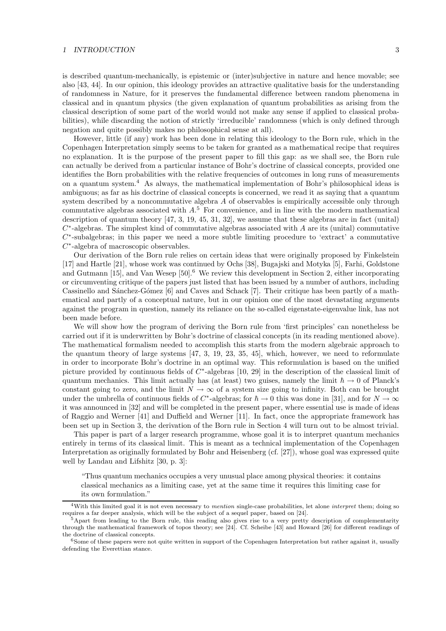#### 1 INTRODUCTION 3

is described quantum-mechanically, is epistemic or (inter)subjective in nature and hence movable; see also [43, 44]. In our opinion, this ideology provides an attractive qualitative basis for the understanding of randomness in Nature, for it preserves the fundamental difference between random phenomena in classical and in quantum physics (the given explanation of quantum probabilities as arising from the classical description of some part of the world would not make any sense if applied to classical probabilities), while discarding the notion of strictly 'irreducible' randomness (which is only defined through negation and quite possibly makes no philosophical sense at all).

However, little (if any) work has been done in relating this ideology to the Born rule, which in the Copenhagen Interpretation simply seems to be taken for granted as a mathematical recipe that requires no explanation. It is the purpose of the present paper to fill this gap: as we shall see, the Born rule can actually be derived from a particular instance of Bohr's doctrine of classical concepts, provided one identifies the Born probabilities with the relative frequencies of outcomes in long runs of measurements on a quantum system.<sup>4</sup> As always, the mathematical implementation of Bohr's philosophical ideas is ambiguous; as far as his doctrine of classical concepts is concerned, we read it as saying that a quantum system described by a noncommutative algebra A of observables is empirically accessible only through commutative algebras associated with A. <sup>5</sup> For convenience, and in line with the modern mathematical description of quantum theory [47, 3, 19, 45, 31, 32], we assume that these algebras are in fact (unital)  $C^*$ -algebras. The simplest kind of commutative algebras associated with A are its (unital) commutative  $C^*$ -subalgebras; in this paper we need a more subtle limiting procedure to 'extract' a commutative C ∗ -algebra of macroscopic observables.

Our derivation of the Born rule relies on certain ideas that were originally proposed by Finkelstein [17] and Hartle [21], whose work was continued by Ochs [38], Bugajski and Motyka [5], Farhi, Goldstone and Gutmann [15], and Van Wesep [50].<sup>6</sup> We review this development in Section 2, either incorporating or circumventing critique of the papers just listed that has been issued by a number of authors, including Cassinello and Sánchez-Gómez [6] and Caves and Schack [7]. Their critique has been partly of a mathematical and partly of a conceptual nature, but in our opinion one of the most devastating arguments against the program in question, namely its reliance on the so-called eigenstate-eigenvalue link, has not been made before.

We will show how the program of deriving the Born rule from 'first principles' can nonetheless be carried out if it is underwritten by Bohr's doctrine of classical concepts (in its reading mentioned above). The mathematical formalism needed to accomplish this starts from the modern algebraic approach to the quantum theory of large systems [47, 3, 19, 23, 35, 45], which, however, we need to reformulate in order to incorporate Bohr's doctrine in an optimal way. This reformulation is based on the unified picture provided by continuous fields of  $C^*$ -algebras [10, 29] in the description of the classical limit of quantum mechanics. This limit actually has (at least) two guises, namely the limit  $\hbar \rightarrow 0$  of Planck's constant going to zero, and the limit  $N \to \infty$  of a system size going to infinity. Both can be brought under the umbrella of continuous fields of C<sup>\*</sup>-algebras; for  $\hbar \to 0$  this was done in [31], and for  $N \to \infty$ it was announced in [32] and will be completed in the present paper, where essential use is made of ideas of Raggio and Werner [41] and Duffield and Werner [11]. In fact, once the appropriate framework has been set up in Section 3, the derivation of the Born rule in Section 4 will turn out to be almost trivial.

This paper is part of a larger research programme, whose goal it is to interpret quantum mechanics entirely in terms of its classical limit. This is meant as a technical implementation of the Copenhagen Interpretation as originally formulated by Bohr and Heisenberg (cf. [27]), whose goal was expressed quite well by Landau and Lifshitz [30, p. 3]:

"Thus quantum mechanics occupies a very unusual place among physical theories: it contains classical mechanics as a limiting case, yet at the same time it requires this limiting case for its own formulation."

 $4$ With this limited goal it is not even necessary to mention single-case probabilities, let alone interpret them; doing so requires a far deeper analysis, which will be the subject of a sequel paper, based on [24].

<sup>5</sup>Apart from leading to the Born rule, this reading also gives rise to a very pretty description of complementarity through the mathematical framework of topos theory; see [24]. Cf. Scheibe [43] and Howard [26] for different readings of the doctrine of classical concepts.

<sup>&</sup>lt;sup>6</sup>Some of these papers were not quite written in support of the Copenhagen Interpretation but rather against it, usually defending the Everettian stance.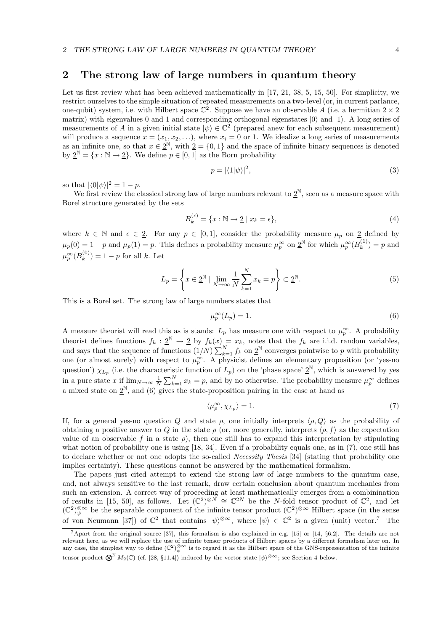### 2 The strong law of large numbers in quantum theory

Let us first review what has been achieved mathematically in [17, 21, 38, 5, 15, 50]. For simplicity, we restrict ourselves to the simple situation of repeated measurements on a two-level (or, in current parlance, one-qubit) system, i.e. with Hilbert space  $\mathbb{C}^2$ . Suppose we have an observable A (i.e. a hermitian  $2 \times 2$ matrix) with eigenvalues 0 and 1 and corresponding orthogonal eigenstates  $|0\rangle$  and  $|1\rangle$ . A long series of measurements of A in a given initial state  $|\psi\rangle \in \mathbb{C}^2$  (prepared anew for each subsequent measurement) will produce a sequence  $x = (x_1, x_2, \ldots)$ , where  $x_i = 0$  or 1. We idealize a long series of measurements as an infinite one, so that  $x \in 2^{\mathbb{N}}$ , with  $2 = \{0, 1\}$  and the space of infinite binary sequences is denoted by  $2^{\mathbb{N}} = \{x : \mathbb{N} \to 2\}$ . We define  $p \in [0, 1]$  as the Born probability

$$
p = |\langle 1|\psi \rangle|^2,\tag{3}
$$

so that  $|\langle 0|\psi\rangle|^2 = 1 - p$ .

We first review the classical strong law of large numbers relevant to  $\underline{2}^{\mathbb{N}}$ , seen as a measure space with Borel structure generated by the sets

$$
B_k^{(\epsilon)} = \{x : \mathbb{N} \to \underline{2} \mid x_k = \epsilon\},\tag{4}
$$

where  $k \in \mathbb{N}$  and  $\epsilon \in \underline{2}$ . For any  $p \in [0,1]$ , consider the probability measure  $\mu_p$  on  $\underline{2}$  defined by  $\mu_p(0) = 1 - p$  and  $\mu_p(1) = p$ . This defines a probability measure  $\mu_p^{\infty}$  on  $\underline{2}^{\mathbb{N}}$  for which  $\mu_p^{\infty}(B_k^{(1)})$  $\binom{1}{k}$  = p and  $\mu_p^\infty(B_k^{(0)}$  $\binom{0}{k}$  = 1 – p for all k. Let

$$
L_p = \left\{ x \in \underline{2}^{\mathbb{N}} \mid \lim_{N \to \infty} \frac{1}{N} \sum_{k=1}^{N} x_k = p \right\} \subset \underline{2}^{\mathbb{N}}.
$$
 (5)

This is a Borel set. The strong law of large numbers states that

$$
\mu_p^{\infty}(L_p) = 1. \tag{6}
$$

A measure theorist will read this as is stands:  $L_p$  has measure one with respect to  $\mu_p^{\infty}$ . A probability theorist defines functions  $f_k : \underline{2}^{\mathbb{N}} \to \underline{2}$  by  $f_k(x) = x_k$ , notes that the  $f_k$  are i.i.d. random variables, and says that the sequence of functions  $(1/N)\sum_{k=1}^{N} f_k$  on  $2^{\mathbb{N}}$  converges pointwise to p with probability one (or almost surely) with respect to  $\mu_p^{\infty}$ . A physicist defines an elementary proposition (or 'yes-no question')  $\chi_{L_p}$  (i.e. the characteristic function of  $L_p$ ) on the 'phase space'  $\underline{2}^{\mathbb{N}}$ , which is answered by yes in a pure state x if  $\lim_{N\to\infty}\frac{1}{N}\sum_{k=1}^{N}x_k=p$ , and by no otherwise. The probability measure  $\mu_p^{\infty}$  defines a mixed state on  $\underline{2}^{\mathbb{N}}$ , and (6) gives the state-proposition pairing in the case at hand as

$$
\langle \mu_p^{\infty}, \chi_{L_p} \rangle = 1. \tag{7}
$$

If, for a general yes-no question Q and state  $\rho$ , one initially interprets  $\langle \rho, Q \rangle$  as the probability of obtaining a positive answer to Q in the state  $\rho$  (or, more generally, interprets  $\langle \rho, f \rangle$  as the expectation value of an observable f in a state  $\rho$ ), then one still has to expand this interpretation by stipulating what notion of probability one is using [18, 34]. Even if a probability equals one, as in (7), one still has to declare whether or not one adopts the so-called *Necessity Thesis* [34] (stating that probability one implies certainty). These questions cannot be answered by the mathematical formalism.

The papers just cited attempt to extend the strong law of large numbers to the quantum case, and, not always sensitive to the last remark, draw certain conclusion about quantum mechanics from such an extension. A correct way of proceeding at least mathematically emerges from a combinination of results in [15, 50], as follows. Let  $(\mathbb{C}^2)^{\otimes N} \cong \mathbb{C}^{2N}$  be the N-fold tensor product of  $\mathbb{C}^2$ , and let  $(\mathbb{C}^2)_{\psi}^{\otimes \infty}$  be the separable component of the infinite tensor product  $(\mathbb{C}^2)^{\otimes \infty}$  Hilbert space (in the sense of von Neumann [37]) of  $\mathbb{C}^2$  that contains  $|\psi\rangle^{\otimes \infty}$ , where  $|\psi\rangle \in \mathbb{C}^2$  is a given (unit) vector.<sup>7</sup> The

<sup>7</sup>Apart from the original source [37], this formalism is also explained in e.g. [15] or [14, §6.2]. The details are not relevant here, as we will replace the use of infinite tensor products of Hilbert spaces by a different formalism later on. In any case, the simplest way to define  $(\mathbb{C}^2)_{\psi}^{\otimes \infty}$  is to regard it as the Hilbert space of the GNS-representation of the infinite tensor product  $\mathbb{Q}^{\mathbb{N}} M_2(\mathbb{C})$  (cf. [28, §11.4]) induced by the vector state  $|\psi\rangle^{\otimes \infty}$ ; see Section 4 below.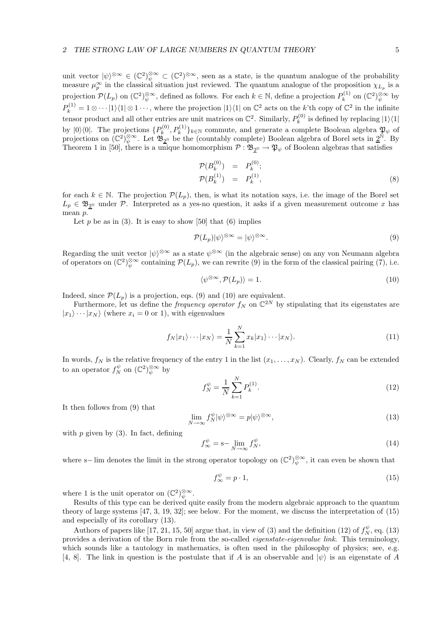unit vector  $|\psi\rangle^{\otimes \infty} \in (\mathbb{C}^2)_{\psi}^{\otimes \infty} \subset (\mathbb{C}^2)^{\otimes \infty}$ , seen as a state, is the quantum analogue of the probability measure  $\mu_p^{\infty}$  in the classical situation just reviewed. The quantum analogue of the proposition  $\chi_{L_p}$  is a projection  $\mathcal{P}(L_p)$  on  $(\mathbb{C}^2)_{\psi}^{\otimes \infty}$ , defined as follows. For each  $k \in \mathbb{N}$ , define a projection  $P_k^{(1)}$  $\mathfrak{b}_k^{(1)}$  on  $(\mathbb{C}^2)^{\otimes \infty}_{\psi}$  by  $P_k^{(1)} = 1 \otimes \cdots |1\rangle\langle 1| \otimes 1 \cdots$ , where the projection  $|1\rangle\langle 1|$  on  $\mathbb{C}^2$  acts on the k'th copy of  $\mathbb{C}^2$  in the infinite tensor product and all other entries are unit matrices on  $\mathbb{C}^2$ . Similarly,  $P_k^{(0)}$  $\binom{1}{k}$  is defined by replacing  $|1\rangle\langle 1|$ by  $|0\rangle\langle 0|$ . The projections  $\{P_k^{(0)}\}$  $(k_k^{(0)}, P_k^{(1)}\}_{k \in \mathbb{N}}$  commute, and generate a complete Boolean algebra  $\mathfrak{P}_{\psi}$  of projections on  $(\mathbb{C}^2)_{\psi}^{\otimes \infty}$ . Let  $\mathfrak{B}_{2^{\mathbb{N}}}$  be the (countably complete) Boolean algebra of Borel sets in  $2^{\mathbb{N}}$ . By Theorem 1 in [50], there is a unique homomorphism  $\mathcal{P}: \mathfrak{B}_{2^{\mathbb{N}}} \to \mathfrak{P}_{\psi}$  of Boolean algebras that satisfies

$$
\mathcal{P}(B_k^{(0)}) = P_k^{(0)}; \n\mathcal{P}(B_k^{(1)}) = P_k^{(1)},
$$
\n(8)

for each  $k \in \mathbb{N}$ . The projection  $\mathcal{P}(L_p)$ , then, is what its notation says, i.e. the image of the Borel set  $L_p \in \mathfrak{B}_{2^{\mathbb{N}}}$  under P. Interpreted as a yes-no question, it asks if a given measurement outcome x has mean p.

Let p be as in  $(3)$ . It is easy to show [50] that  $(6)$  implies

$$
\mathcal{P}(L_p)|\psi\rangle^{\otimes\infty} = |\psi\rangle^{\otimes\infty}.\tag{9}
$$

Regarding the unit vector  $|\psi\rangle^{\otimes \infty}$  as a state  $\psi^{\otimes \infty}$  (in the algebraic sense) on any von Neumann algebra of operators on  $(\mathbb{C}^2)_{\psi}^{\otimes \infty}$  containing  $\mathcal{P}(L_p)$ , we can rewrite  $(9)$  in the form of the classical pairing  $(7)$ , i.e.

$$
\langle \psi^{\otimes \infty}, \mathcal{P}(L_p) \rangle = 1. \tag{10}
$$

Indeed, since  $\mathcal{P}(L_p)$  is a projection, eqs. (9) and (10) are equivalent.

Furthermore, let us define the *frequency operator*  $f_N$  on  $\mathbb{C}^{2N}$  by stipulating that its eigenstates are  $|x_1\rangle \cdots |x_N\rangle$  (where  $x_i = 0$  or 1), with eigenvalues

$$
f_N|x_1\rangle \cdots |x_N\rangle = \frac{1}{N} \sum_{k=1}^N x_k |x_1\rangle \cdots |x_N\rangle.
$$
 (11)

In words,  $f_N$  is the relative frequency of the entry 1 in the list  $(x_1, \ldots, x_N)$ . Clearly,  $f_N$  can be extended to an operator  $f_N^{\psi}$  on  $(\mathbb{C}^2)_{\psi}^{\otimes \infty}$  by

$$
f_N^{\psi} = \frac{1}{N} \sum_{k=1}^N P_k^{(1)}.
$$
 (12)

It then follows from (9) that

$$
\lim_{N \to \infty} f_N^{\psi} |\psi\rangle^{\otimes \infty} = p |\psi\rangle^{\otimes \infty},\tag{13}
$$

with  $p$  given by (3). In fact, defining

$$
f_{\infty}^{\psi} = \mathbf{s} - \lim_{N \to \infty} f_N^{\psi},\tag{14}
$$

where s– lim denotes the limit in the strong operator topology on  $(\mathbb{C}^2)_{\psi}^{\otimes \infty}$ , it can even be shown that

$$
f_{\infty}^{\psi} = p \cdot 1,\tag{15}
$$

where 1 is the unit operator on  $(\mathbb{C}^2)_{\psi}^{\otimes \infty}$ .

Results of this type can be derived quite easily from the modern algebraic approach to the quantum theory of large systems [47, 3, 19, 32]; see below. For the moment, we discuss the interpretation of (15) and especially of its corollary (13).

Authors of papers like [17, 21, 15, 50] argue that, in view of (3) and the definition (12) of  $f_N^{\psi}$ , eq. (13) provides a derivation of the Born rule from the so-called eigenstate-eigenvalue link. This terminology, which sounds like a tautology in mathematics, is often used in the philosophy of physics; see, e.g. [4, 8]. The link in question is the postulate that if A is an observable and  $|\psi\rangle$  is an eigenstate of A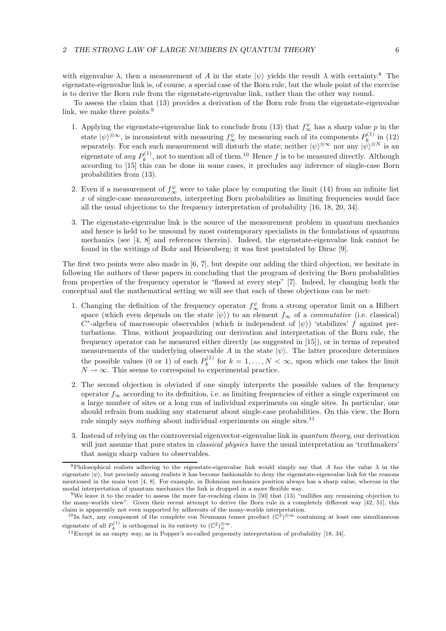with eigenvalue  $\lambda$ , then a measurement of A in the state  $|\psi\rangle$  yields the result  $\lambda$  with certainty.<sup>8</sup> The eigenstate-eigenvalue link is, of course, a special case of the Born rule, but the whole point of the exercise is to derive the Born rule from the eigenstate-eigenvalue link, rather than the other way round.

To assess the claim that (13) provides a derivation of the Born rule from the eigenstate-eigenvalue link, we make three points.<sup>9</sup>

- 1. Applying the eigenstate-eigenvalue link to conclude from (13) that  $f_{\infty}^{\psi}$  has a sharp value p in the state  $|\psi\rangle^{\otimes \infty}$ , is inconsistent with measuring  $f^{\psi}_{\infty}$  by measuring each of its components  $P_k^{(1)}$  $\int_{k_0}^{(1)} \ln (12)$ separately. For each such measurement will disturb the state; neither  $|\psi\rangle^{\otimes \infty}$  nor any  $|\psi\rangle^{\otimes N}$  is an eigenstate of *any*  $P_k^{(1)}$  $k_k^{(1)}$ , not to mention all of them.<sup>10</sup> Hence f is to be measured directly. Although according to [15] this can be done in some cases, it precludes any inference of single-case Born probabilities from (13).
- 2. Even if a measurement of  $f_{\infty}^{\psi}$  were to take place by computing the limit (14) from an infinite list  $x$  of single-case measurements, interpreting Born probabilities as limiting frequencies would face all the usual objections to the frequency interpretation of probability [16, 18, 20, 34].
- 3. The eigenstate-eigenvalue link is the source of the measurement problem in quantum mechanics and hence is held to be unsound by most contemporary specialists in the foundations of quantum mechanics (see [4, 8] and references therein). Indeed, the eigenstate-eigenvalue link cannot be found in the writings of Bohr and Heisenberg; it was first postulated by Dirac [9].

The first two points were also made in  $[6, 7]$ , but despite our adding the third objection, we hesitate in following the authors of these papers in concluding that the program of deriving the Born probabilities from properties of the frequency operator is "flawed at every step" [7]. Indeed, by changing both the conceptual and the mathematical setting we will see that each of these objections can be met:

- 1. Changing the definition of the frequency operator  $f_{\infty}^{\psi}$  from a strong operator limit on a Hilbert space (which even depends on the state  $|\psi\rangle$ ) to an element  $f_{\infty}$  of a *commutative* (i.e. classical)  $C^*$ -algebra of macroscopic observables (which is independent of  $|\psi\rangle$ ) 'stabilizes' f against perturbations. Thus, without jeopardizing our derivation and interpretation of the Born rule, the frequency operator can be measured either directly (as suggested in [15]), or in terms of repeated measurements of the underlying observable A in the state  $|\psi\rangle$ . The latter procedure determines the possible values (0 or 1) of each  $P_k^{(1)}$  $f_k^{(1)}$  for  $k = 1, ..., N < \infty$ , upon which one takes the limit  $N \to \infty$ . This seems to correspond to experimental practice.
- 2. The second objection is obviated if one simply interprets the possible values of the frequency operator  $f_{\infty}$  according to its definition, i.e. as limiting frequencies of either a single experiment on a large number of sites or a long run of individual experiments on single sites. In particular, one should refrain from making any statement about single-case probabilities. On this view, the Born rule simply says *nothing* about individual experiments on single sites.<sup>11</sup>
- 3. Instead of relying on the controversial eigenvector-eigenvalue link in quantum theory, our derivation will just assume that pure states in *classical physics* have the usual interpretation as 'truthmakers' that assign sharp values to observables.

<sup>&</sup>lt;sup>8</sup>Philosophical realists adhering to the eigenstate-eigenvalue link would simply say that A has the value  $\lambda$  in the eigenstate  $|\psi\rangle$ , but precisely among realists it has become fashionable to deny the eigenstate-eigenvalue link for the reasons mentioned in the main text [4, 8]. For example, in Bohmian mechanics position always has a sharp value, whereas in the modal interpretation of quantum mechanics the link is dropped in a more flexible way.

<sup>&</sup>lt;sup>9</sup>We leave it to the reader to assess the more far-reaching claim in [50] that (13) "nullifies any remaining objection to the many-worlds view". Given their recent attempt to derive the Born rule in a completely different way [42, 51], this claim is apparently not even supported by adherents of the many-worlds interpretation.

<sup>&</sup>lt;sup>10</sup>In fact, any component of the complete von Neumann tensor product  $(\mathbb{C}^2)^{\otimes \infty}$  containing at least one simultaneous eigenstate of all  $P_k^{(1)}$  is orthogonal in its entirety to  $(\mathbb{C}^2)_{\psi}^{\otimes \infty}$ .

 $11$  Except in an empty way, as in Popper's so-called propensity interpretation of probability [18, 34].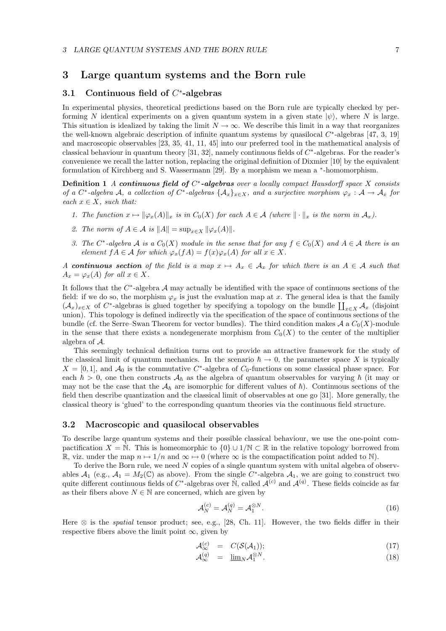### 3 Large quantum systems and the Born rule

## 3.1 Continuous field of  $C^*$ -algebras

In experimental physics, theoretical predictions based on the Born rule are typically checked by performing N identical experiments on a given quantum system in a given state  $|\psi\rangle$ , where N is large. This situation is idealized by taking the limit  $N \to \infty$ . We describe this limit in a way that reorganizes the well-known algebraic description of infinite quantum systems by quasilocal  $C^*$ -algebras [47, 3, 19] and macroscopic observables [23, 35, 41, 11, 45] into our preferred tool in the mathematical analysis of classical behaviour in quantum theory [31, 32], namely continuous fields of  $C^*$ -algebras. For the reader's convenience we recall the latter notion, replacing the original definition of Dixmier [10] by the equivalent formulation of Kirchberg and S. Wassermann [29]. By a morphism we mean a <sup>\*</sup>-homomorphism.

**Definition 1** A continuous field of  $C^*$ -algebras over a locally compact Hausdorff space X consists of a C<sup>\*</sup>-algebra A, a collection of C<sup>\*</sup>-algebras  $\{A_x\}_{x\in X}$ , and a surjective morphism  $\varphi_x : A \to A_x$  for each  $x \in X$ , such that:

- 1. The function  $x \mapsto ||\varphi_x(A)||_x$  is in  $C_0(X)$  for each  $A \in \mathcal{A}$  (where  $|| \cdot ||_x$  is the norm in  $\mathcal{A}_x$ ).
- 2. The norm of  $A \in \mathcal{A}$  is  $||A|| = \sup_{x \in X} ||\varphi_x(A)||$ .
- 3. The C<sup>\*</sup>-algebra A is a  $C_0(X)$  module in the sense that for any  $f \in C_0(X)$  and  $A \in \mathcal{A}$  there is an element  $fA \in \mathcal{A}$  for which  $\varphi_x(fA) = f(x)\varphi_x(A)$  for all  $x \in X$ .

A continuous section of the field is a map  $x \mapsto A_x \in \mathcal{A}_x$  for which there is an  $A \in \mathcal{A}$  such that  $A_x = \varphi_x(A)$  for all  $x \in X$ .

It follows that the  $C^*$ -algebra  $\mathcal A$  may actually be identified with the space of continuous sections of the field: if we do so, the morphism  $\varphi_x$  is just the evaluation map at x. The general idea is that the family  $(\mathcal{A}_x)_{x\in X}$  of C<sup>\*</sup>-algebras is glued together by specifying a topology on the bundle  $\prod_{x\in X}\mathcal{A}_x$  (disjoint union). This topology is defined indirectly via the specification of the space of continuous sections of the bundle (cf. the Serre–Swan Theorem for vector bundles). The third condition makes  $\mathcal{A}$  a  $C_0(X)$ -module in the sense that there exists a nondegenerate morphism from  $C_0(X)$  to the center of the multiplier algebra of A.

This seemingly technical definition turns out to provide an attractive framework for the study of the classical limit of quantum mechanics. In the scenario  $\hbar \to 0$ , the parameter space X is typically  $X = [0, 1]$ , and  $\mathcal{A}_0$  is the commutative C<sup>\*</sup>-algebra of C<sub>0</sub>-functions on some classical phase space. For each  $\hbar > 0$ , one then constructs  $A_{\hbar}$  as the algebra of quantum observables for varying  $\hbar$  (it may or may not be the case that the  $A_{\hbar}$  are isomorphic for different values of  $\hbar$ ). Continuous sections of the field then describe quantization and the classical limit of observables at one go [31]. More generally, the classical theory is 'glued' to the corresponding quantum theories via the continuous field structure.

#### 3.2 Macroscopic and quasilocal observables

To describe large quantum systems and their possible classical behaviour, we use the one-point compactification  $X = \mathbb{N}$ . This is homeomorphic to  $\{0\} \cup 1/\mathbb{N} \subset \mathbb{R}$  in the relative topology borrowed from R, viz. under the map  $n \mapsto 1/n$  and  $\infty \mapsto 0$  (where  $\infty$  is the compactification point added to N).

To derive the Born rule, we need N copies of a single quantum system with unital algebra of observables  $A_1$  (e.g.,  $A_1 = M_2(\mathbb{C})$  as above). From the single  $C^*$ -algebra  $A_1$ , we are going to construct two quite different continuous fields of  $C^*$ -algebras over N̄, called  $\mathcal{A}^{(c)}$  and  $\mathcal{A}^{(q)}$ . These fields coincide as far as their fibers above  $N \in \mathbb{N}$  are concerned, which are given by

$$
\mathcal{A}_N^{(c)} = \mathcal{A}_N^{(q)} = \mathcal{A}_1^{\otimes N}.\tag{16}
$$

Here  $\otimes$  is the *spatial* tensor product; see, e.g., [28, Ch. 11]. However, the two fields differ in their respective fibers above the limit point  $\infty$ , given by

$$
\mathcal{A}_{\infty}^{(c)} = C(\mathcal{S}(\mathcal{A}_1)); \tag{17}
$$

$$
\mathcal{A}_{\infty}^{(q)} = \underline{\lim}_{N} \mathcal{A}_{1}^{\otimes N}.
$$
 (18)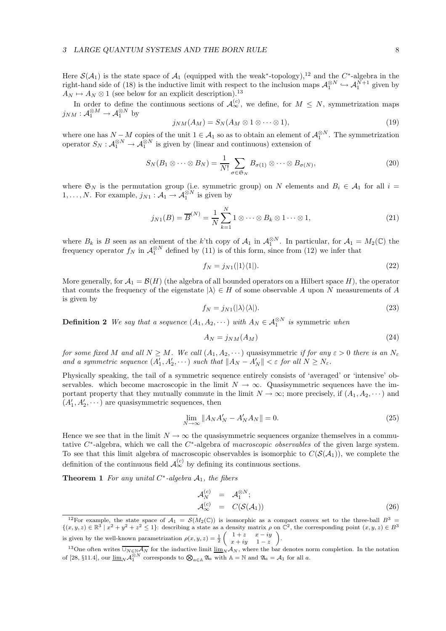Here  $\mathcal{S}(\mathcal{A}_1)$  is the state space of  $\mathcal{A}_1$  (equipped with the weak<sup>\*</sup>-topology),<sup>12</sup> and the C<sup>\*</sup>-algebra in the right-hand side of (18) is the inductive limit with respect to the inclusion maps  $\mathcal{A}_1^{\otimes N} \hookrightarrow \mathcal{A}_1^{\tilde{N}+1}$  given by  $A_N \mapsto A_N \otimes 1$  (see below for an explicit description).<sup>13</sup>

In order to define the continuous sections of  $\mathcal{A}_{\infty}^{(c)}$ , we define, for  $M \leq N$ , symmetrization maps  $j_{NM}: \mathcal{A}_1^{\otimes M} \to \mathcal{A}_1^{\otimes N}$  by

$$
j_{NM}(A_M) = S_N(A_M \otimes 1 \otimes \cdots \otimes 1), \qquad (19)
$$

where one has  $N-M$  copies of the unit  $1 \in \mathcal{A}_1$  so as to obtain an element of  $\mathcal{A}_1^{\otimes N}$ . The symmetrization operator  $S_N$ :  $\mathcal{A}_1^{\otimes N} \to \mathcal{A}_1^{\otimes N}$  is given by (linear and continuous) extension of

$$
S_N(B_1 \otimes \cdots \otimes B_N) = \frac{1}{N!} \sum_{\sigma \in \mathfrak{S}_N} B_{\sigma(1)} \otimes \cdots \otimes B_{\sigma(N)},
$$
\n(20)

where  $\mathfrak{S}_N$  is the permutation group (i.e. symmetric group) on N elements and  $B_i \in \mathcal{A}_1$  for all  $i =$  $1, \ldots, N$ . For example,  $j_{N1} : A_1 \to A_1^{\otimes N}$  is given by

$$
j_{N1}(B) = \overline{B}^{(N)} = \frac{1}{N} \sum_{k=1}^{N} 1 \otimes \cdots \otimes B_k \otimes 1 \cdots \otimes 1,
$$
\n(21)

where  $B_k$  is B seen as an element of the k'th copy of  $\mathcal{A}_1$  in  $\mathcal{A}_1^{\otimes N}$ . In particular, for  $\mathcal{A}_1 = M_2(\mathbb{C})$  the frequency operator  $f_N$  in  $\mathcal{A}_1^{\otimes N}$  defined by (11) is of this form, since from (12) we infer that

$$
f_N = j_{N1}(|1\rangle\langle 1|). \tag{22}
$$

More generally, for  $\mathcal{A}_1 = \mathcal{B}(H)$  (the algebra of all bounded operators on a Hilbert space H), the operator that counts the frequency of the eigenstate  $|\lambda\rangle \in H$  of some observable A upon N measurements of A is given by

$$
f_N = j_{N1}(|\lambda\rangle\langle\lambda|). \tag{23}
$$

**Definition 2** We say that a sequence  $(A_1, A_2, \dots)$  with  $A_N \in \mathcal{A}_1^{\otimes N}$  is symmetric when

$$
A_N = j_{NM}(A_M) \tag{24}
$$

for some fixed M and all  $N \geq M$ . We call  $(A_1, A_2, \dots)$  quasisymmetric if for any  $\varepsilon > 0$  there is an  $N_{\varepsilon}$ and a symmetric sequence  $(A'_1, A'_2, \dots)$  such that  $||A_N - A'_N|| < \varepsilon$  for all  $N \ge N_{\varepsilon}$ .

Physically speaking, the tail of a symmetric sequence entirely consists of 'averaged' or 'intensive' observables. which become macroscopic in the limit  $N \to \infty$ . Quasisymmetric sequences have the important property that they mutually commute in the limit  $N \to \infty$ ; more precisely, if  $(A_1, A_2, \dots)$  and  $(A'_1, A'_2, \dots)$  are quasisymmetric sequences, then

$$
\lim_{N \to \infty} \|A_N A'_N - A'_N A_N\| = 0.
$$
\n(25)

Hence we see that in the limit  $N \to \infty$  the quasisymmetric sequences organize themselves in a commutative  $C^*$ -algebra, which we call the  $C^*$ -algebra of macroscopic observables of the given large system. To see that this limit algebra of macroscopic observables is isomorphic to  $C(S(\mathcal{A}_1))$ , we complete the definition of the continuous field  $\mathcal{A}_{\infty}^{(c)}$  by defining its continuous sections.

**Theorem 1** For any unital  $C^*$ -algebra  $A_1$ , the fibers

$$
\mathcal{A}_{N}^{(c)} = \mathcal{A}_{1}^{\otimes N}; \n\mathcal{A}_{\infty}^{(c)} = C(\mathcal{S}(\mathcal{A}_{1}))
$$
\n(26)

<sup>&</sup>lt;sup>12</sup>For example, the state space of  $\mathcal{A}_1 = \mathcal{S}(M_2(\mathbb{C}))$  is isomorphic as a compact convex set to the three-ball  $B^3$  $\{(x, y, z) \in \mathbb{R}^3 \mid x^2 + y^2 + z^2 \leq 1\}$ : describing a state as a density matrix  $\rho$  on  $\mathbb{C}^2$ , the corresponding point  $(x, y, z) \in B^3$ is given by the well-known parametrization  $\rho(x, y, z) = \frac{1}{2}$  $\begin{pmatrix} 1+z & x-iy \end{pmatrix}$  $x + iy$  1 – z « .

<sup>&</sup>lt;sup>13</sup>One often writes  $\overline{\bigcup_{N\in\mathbb{N}}\mathcal{A}_N}$  for the inductive limit  $\underline{\lim}_{N}\mathcal{A}_N$ , where the bar denotes norm completion. In the notation of [28, §11.4], our  $\underline{\lim}_{N} \mathcal{A}_1^{\otimes N}$  corresponds to  $\bigotimes_{a \in \mathbb{A}} \mathfrak{A}_a$  with  $\mathbb{A} = \mathbb{N}$  and  $\mathfrak{A}_a = \mathcal{A}_1$  for all a.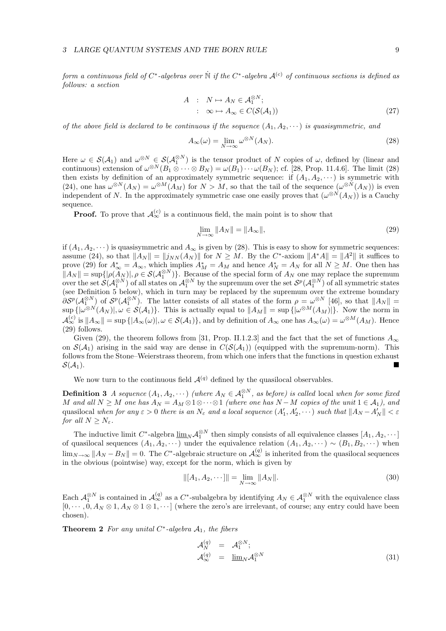form a continuous field of C\*-algebras over  $\dot{\mathbb{N}}$  if the C\*-algebra  $\mathcal{A}^{(c)}$  of continuous sections is defined as follows: a section

$$
A : N \mapsto A_N \in \mathcal{A}_1^{\otimes N};
$$
  

$$
: \infty \mapsto A_{\infty} \in C(\mathcal{S}(\mathcal{A}_1))
$$
 (27)

of the above field is declared to be continuous if the sequence  $(A_1, A_2, \dots)$  is quasisymmetric, and

$$
A_{\infty}(\omega) = \lim_{N \to \infty} \omega^{\otimes N}(A_N). \tag{28}
$$

Here  $\omega \in \mathcal{S}(\mathcal{A}_1)$  and  $\omega^{\otimes N} \in \mathcal{S}(\mathcal{A}_1^{\otimes N})$  is the tensor product of N copies of  $\omega$ , defined by (linear and continuous) extension of  $\omega^{\otimes N}(B_1 \otimes \cdots \otimes B_N) = \omega(B_1) \cdots \omega(B_N)$ ; cf. [28, Prop. 11.4.6]. The limit (28) then exists by definition of an approximately symmetric sequence: if  $(A_1, A_2, \dots)$  is symmetric with (24), one has  $\omega^{\otimes N}(A_N) = \omega^{\otimes M}(A_M)$  for  $N > M$ , so that the tail of the sequence  $(\omega^{\otimes N}(A_N))$  is even independent of N. In the approximately symmetric case one easily proves that  $(\omega^{\otimes N}(A_N))$  is a Cauchy sequence.

**Proof.** To prove that  $\mathcal{A}_{\infty}^{(c)}$  is a continuous field, the main point is to show that

$$
\lim_{N \to \infty} \|A_N\| = \|A_\infty\|,\tag{29}
$$

if  $(A_1, A_2, \dots)$  is quasisymmetric and  $A_\infty$  is given by (28). This is easy to show for symmetric sequences: assume (24), so that  $||A_N|| = ||j_{NN}(A_N)||$  for  $N \geq M$ . By the C<sup>\*</sup>-axiom  $||A^*A|| = ||A^2||$  it suffices to prove (29) for  $A^*_{\infty} = A_{\infty}$ , which implies  $A^*_{M} = A_{M}$  and hence  $A^*_{N} = A_{N}$  for all  $N \geq M$ . One then has  $\|A_N\| = \sup\{|\rho(\widetilde{A}_N)|, \rho \in \mathcal{S}(\mathcal{A}_1^{\otimes N})\}.$  Because of the special form of  $A_N$  one may replace the supremum over the set  $\mathcal{S}(\mathcal{A}_1^{\otimes N})$  of all states on  $\mathcal{A}_1^{\otimes N}$  by the supremum over the set  $\mathcal{S}^p(\mathcal{A}_1^{\otimes N})$  of all symmetric states (see Definition 5 below), which in turn may be replaced by the supremum over the extreme boundary  $\partial \mathcal{S}^p(\mathcal{A}_1^{\otimes N})$  of  $\mathcal{S}^p(\mathcal{A}_1^{\otimes N})$ . The latter consists of all states of the form  $\rho = \omega^{\otimes N}$  [46], so that  $||A_N|| =$  $\sup_{A}(|\omega^{\otimes N}(A_N)|, \omega \in \mathcal{S}(\mathcal{A}_1)\}.$  This is actually equal to  $||A_M|| = \sup \{|\omega^{\otimes M}(A_M)|\}.$  Now the norm in  $\mathcal{A}_{\infty}^{(c)}$  is  $||A_{\infty}|| = \sup\{|A_{\infty}(\omega)|, \omega \in \mathcal{S}(\mathcal{A}_1)\}\$ , and by definition of  $A_{\infty}$  one has  $A_{\infty}(\omega) = \omega^{\otimes M}(A_M)$ . Hence (29) follows.

Given (29), the theorem follows from [31, Prop. II.1.2.3] and the fact that the set of functions  $A_{\infty}$ on  $S(\mathcal{A}_1)$  arising in the said way are dense in  $C(S(\mathcal{A}_1))$  (equipped with the supremum-norm). This follows from the Stone–Weierstrass theorem, from which one infers that the functions in question exhaust  $\mathcal{S}(\mathcal{A}_1)$ .

We now turn to the continuous field  $\mathcal{A}^{(q)}$  defined by the quasilocal observables.

**Definition 3** A sequence  $(A_1, A_2, \dots)$  (where  $A_N \in \mathcal{A}_1^{\otimes N}$ , as before) is called local when for some fixed M and all  $N \geq M$  one has  $A_N = A_M \otimes 1 \otimes \cdots \otimes 1$  (where one has  $N-M$  copies of the unit  $1 \in \mathcal{A}_1$ ), and quasilocal when for any  $\varepsilon > 0$  there is an  $N_{\varepsilon}$  and a local sequence  $(A'_1, A'_2, \dots)$  such that  $||A_N - A'_N|| < \varepsilon$ for all  $N \geq N_{\varepsilon}$ .

The inductive limit  $C^*$ -algebra  $\underline{\lim}_N A_1^{\otimes N}$  then simply consists of all equivalence classes  $[A_1, A_2, \cdots]$ of quasilocal sequences  $(A_1, A_2, \dots)$  under the equivalence relation  $(A_1, A_2, \dots) \sim (B_1, B_2, \dots)$  when  $\lim_{N\to\infty} ||A_N - B_N|| = 0$ . The C<sup>\*</sup>-algebraic structure on  $\mathcal{A}_{\infty}^{(q)}$  is inherited from the quasilocal sequences in the obvious (pointwise) way, except for the norm, which is given by

$$
||[A_1, A_2, \cdots]|| = \lim_{N \to \infty} ||A_N||. \tag{30}
$$

Each  $\mathcal{A}_1^{\otimes N}$  is contained in  $\mathcal{A}_{\infty}^{(q)}$  as a  $C^*$ -subalgebra by identifying  $A_N \in \mathcal{A}_1^{\otimes N}$  with the equivalence class  $[0, \dots, 0, A_N \otimes 1, A_N \otimes 1 \otimes 1, \dots]$  (where the zero's are irrelevant, of course; any entry could have been chosen).

**Theorem 2** For any unital  $C^*$ -algebra  $A_1$ , the fibers

$$
\mathcal{A}_N^{(q)} = \mathcal{A}_1^{\otimes N};
$$
  
\n
$$
\mathcal{A}_\infty^{(q)} = \underline{\lim}_N \mathcal{A}_1^{\otimes N}
$$
\n(31)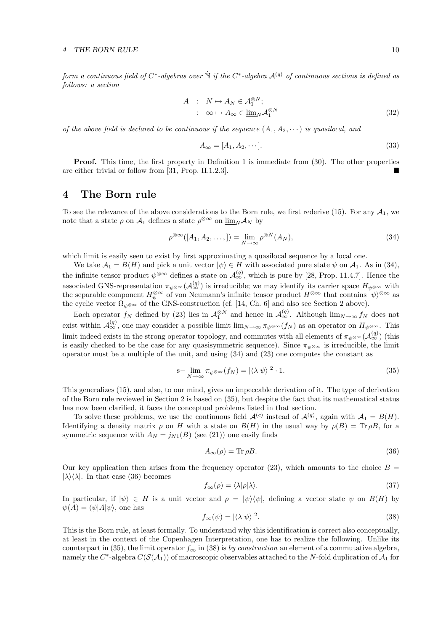form a continuous field of C<sup>\*</sup>-algebras over  $\dot{\N}$  if the C<sup>\*</sup>-algebra  $\mathcal{A}^{(q)}$  of continuous sections is defined as follows: a section

$$
A : N \mapsto A_N \in \mathcal{A}_1^{\otimes N};
$$
  

$$
: \infty \mapsto A_{\infty} \in \underline{\lim}_N \mathcal{A}_1^{\otimes N}
$$
 (32)

of the above field is declared to be continuous if the sequence  $(A_1, A_2, \dots)$  is quasilocal, and

$$
A_{\infty} = [A_1, A_2, \cdots]. \tag{33}
$$

Proof. This time, the first property in Definition 1 is immediate from (30). The other properties are either trivial or follow from [31, Prop. II.1.2.3].

# 4 The Born rule

To see the relevance of the above considerations to the Born rule, we first rederive (15). For any  $\mathcal{A}_1$ , we note that a state  $\rho$  on  $\mathcal{A}_1$  defines a state  $\rho^{\otimes \infty}$  on  $\underline{\lim}_N \mathcal{A}_N$  by

$$
\rho^{\otimes \infty}([A_1, A_2, \dots,]) = \lim_{N \to \infty} \rho^{\otimes N}(A_N),\tag{34}
$$

which limit is easily seen to exist by first approximating a quasilocal sequence by a local one.

We take  $A_1 = B(H)$  and pick a unit vector  $|\psi\rangle \in H$  with associated pure state  $\psi$  on  $A_1$ . As in (34), the infinite tensor product  $\psi^{\otimes \infty}$  defines a state on  $\mathcal{A}_{\infty}^{(q)}$ , which is pure by [28, Prop. 11.4.7]. Hence the associated GNS-representation  $\pi_{\psi^{\otimes\infty}}(\mathcal{A}_{\infty}^{(q)})$  is irreducible; we may identify its carrier space  $H_{\psi^{\otimes\infty}}$  with the separable component  $H_{\psi}^{\otimes \infty}$  of von Neumann's infinite tensor product  $H^{\otimes \infty}$  that contains  $|\psi\rangle^{\otimes \infty}$  as the cyclic vector  $\Omega_{\psi\otimes\infty}$  of the GNS-construction (cf. [14, Ch. 6] and also see Section 2 above).

Each operator  $f_N$  defined by (23) lies in  $\mathcal{A}_1^{\otimes N}$  and hence in  $\mathcal{A}_\infty^{(q)}$ . Although  $\lim_{N\to\infty} f_N$  does not exist within  $\mathcal{A}_{\infty}^{(q)}$ , one may consider a possible limit  $\lim_{N\to\infty} \pi_{\psi^{\otimes\infty}}(f_N)$  as an operator on  $H_{\psi^{\otimes\infty}}$ . This limit indeed exists in the strong operator topology, and commutes with all elements of  $\pi_{\psi^{\otimes \infty}}(\mathcal{A}_{\infty}^{(q)})$  (this is easily checked to be the case for any quasisymmetric sequence). Since  $\pi_{\psi^{\otimes \infty}}$  is irreducible, the limit operator must be a multiple of the unit, and using (34) and (23) one computes the constant as

$$
\mathbf{s} - \lim_{N \to \infty} \pi_{\psi^{\otimes \infty}}(f_N) = |\langle \lambda | \psi \rangle|^2 \cdot 1. \tag{35}
$$

This generalizes (15), and also, to our mind, gives an impeccable derivation of it. The type of derivation of the Born rule reviewed in Section 2 is based on (35), but despite the fact that its mathematical status has now been clarified, it faces the conceptual problems listed in that section.

To solve these problems, we use the continuous field  $\mathcal{A}^{(c)}$  instead of  $\mathcal{A}^{(q)}$ , again with  $\mathcal{A}_1 = B(H)$ . Identifying a density matrix  $\rho$  on H with a state on  $B(H)$  in the usual way by  $\rho(B) = \text{Tr } \rho B$ , for a symmetric sequence with  $A_N = j_{N1}(B)$  (see (21)) one easily finds

$$
A_{\infty}(\rho) = \text{Tr}\,\rho B. \tag{36}
$$

Our key application then arises from the frequency operator (23), which amounts to the choice  $B =$  $|\lambda\rangle\langle\lambda|$ . In that case (36) becomes

$$
f_{\infty}(\rho) = \langle \lambda | \rho | \lambda \rangle. \tag{37}
$$

In particular, if  $|\psi\rangle \in H$  is a unit vector and  $\rho = |\psi\rangle \langle \psi|$ , defining a vector state  $\psi$  on  $B(H)$  by  $\psi(A) = \langle \psi | A | \psi \rangle$ , one has

$$
f_{\infty}(\psi) = |\langle \lambda | \psi \rangle|^2. \tag{38}
$$

This is the Born rule, at least formally. To understand why this identification is correct also conceptually, at least in the context of the Copenhagen Interpretation, one has to realize the following. Unlike its counterpart in (35), the limit operator  $f_{\infty}$  in (38) is by construction an element of a commutative algebra, namely the  $C^*$ -algebra  $C(\mathcal{S}(\mathcal{A}_1))$  of macroscopic observables attached to the N-fold duplication of  $\mathcal{A}_1$  for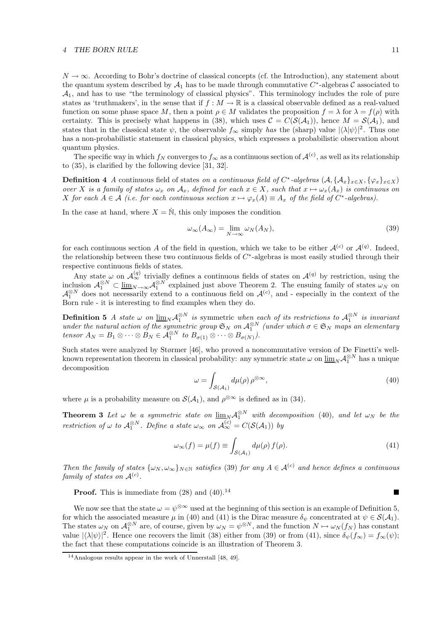#### 4 THE BORN RULE 11

 $N \to \infty$ . According to Bohr's doctrine of classical concepts (cf. the Introduction), any statement about the quantum system described by  $\mathcal{A}_1$  has to be made through commutative  $C^*$ -algebras  $\mathcal C$  associated to  $A_1$ , and has to use "the terminology of classical physics". This terminology includes the role of pure states as 'truthmakers', in the sense that if  $f : M \to \mathbb{R}$  is a classical observable defined as a real-valued function on some phase space M, then a point  $\rho \in M$  validates the proposition  $f = \lambda$  for  $\lambda = f(\rho)$  with certainty. This is precisely what happens in (38), which uses  $\mathcal{C} = C(\mathcal{S}(\mathcal{A}_1))$ , hence  $M = \mathcal{S}(\mathcal{A}_1)$ , and states that in the classical state  $\psi$ , the observable  $f_{\infty}$  simply has the (sharp) value  $|\langle \lambda | \psi \rangle|^2$ . Thus one has a non-probabilistic statement in classical physics, which expresses a probabilistic observation about quantum physics.

The specific way in which  $f_N$  converges to  $f_\infty$  as a continuous section of  $\mathcal{A}^{(c)}$ , as well as its relationship to (35), is clarified by the following device [31, 32].

**Definition 4** A continuous field of states on a continuous field of  $C^*$ -algebras  $(A, \{A_x\}_{x \in X}, \{\varphi_x\}_{x \in X})$ over X is a family of states  $\omega_x$  on  $\mathcal{A}_x$ , defined for each  $x \in X$ , such that  $x \mapsto \omega_x(A_x)$  is continuous on X for each  $A \in \mathcal{A}$  (i.e. for each continuous section  $x \mapsto \varphi_x(A) \equiv A_x$  of the field of  $C^*$ -algebras).

In the case at hand, where  $X = \dot{N}$ , this only imposes the condition

$$
\omega_{\infty}(A_{\infty}) = \lim_{N \to \infty} \omega_N(A_N), \tag{39}
$$

for each continuous section A of the field in question, which we take to be either  $\mathcal{A}^{(c)}$  or  $\mathcal{A}^{(q)}$ . Indeed, the relationship between these two continuous fields of  $C^*$ -algebras is most easily studied through their respective continuous fields of states.

Any state  $\omega$  on  $\mathcal{A}_{\infty}^{(q)}$  trivially defines a continuous fields of states on  $\mathcal{A}^{(q)}$  by restriction, using the inclusion  $\mathcal{A}_1^{\otimes N} \subset \underline{\lim}_{N \to \infty} \mathcal{A}_1^{\otimes N}$  explained just above Theorem 2. The ensuing family of states  $\omega_N$  on  $\mathcal{A}_1^{\otimes N}$  does not necessarily extend to a continuous field on  $\mathcal{A}^{(c)}$ , and - especially in the context of the Born rule - it is interesting to find examples when they do.

**Definition 5** A state  $\omega$  on  $\underline{\lim}_{N} \mathcal{A}_1^{\otimes N}$  is symmetric when each of its restrictions to  $\mathcal{A}_1^{\otimes N}$  is invariant under the natural action of the symmetric group  $\mathfrak{S}_N$  on  $\mathcal{A}_1^{\otimes N}$  (under which  $\sigma \in \mathfrak{S}_N$  maps an elementary tensor  $A_N = B_1 \otimes \cdots \otimes B_N \in \mathcal{A}_1^{\otimes N}$  to  $B_{\sigma(1)} \otimes \cdots \otimes B_{\sigma(N)}$ .

Such states were analyzed by Størmer [46], who proved a noncommutative version of De Finetti's wellknown representation theorem in classical probability: any symmetric state  $\omega$  on  $\underline{\lim}_N \mathcal{A}_1^{\otimes N}$  has a unique decomposition

$$
\omega = \int_{\mathcal{S}(\mathcal{A}_1)} d\mu(\rho) \,\rho^{\otimes \infty},\tag{40}
$$

where  $\mu$  is a probability measure on  $\mathcal{S}(\mathcal{A}_1)$ , and  $\rho^{\otimes \infty}$  is defined as in (34).

**Theorem 3** Let  $\omega$  be a symmetric state on  $\underline{\lim}_{N} A_1^{\otimes N}$  with decomposition (40), and let  $\omega_N$  be the restriction of  $\omega$  to  $\mathcal{A}_1^{\otimes N}$ . Define a state  $\omega_{\infty}$  on  $\mathcal{A}_{\infty}^{(c)} = C(\mathcal{S}(\mathcal{A}_1))$  by

$$
\omega_{\infty}(f) = \mu(f) \equiv \int_{\mathcal{S}(\mathcal{A}_1)} d\mu(\rho) f(\rho). \tag{41}
$$

Then the family of states  $\{\omega_N, \omega_\infty\}_{N\in\mathbb{N}}$  satisfies (39) for any  $A \in \mathcal{A}^{(c)}$  and hence defines a continuous family of states on  $\mathcal{A}^{(c)}$ .

**Proof.** This is immediate from  $(28)$  and  $(40).^{14}$ 

We now see that the state  $\omega = \psi^{\otimes \infty}$  used at the beginning of this section is an example of Definition 5, for which the associated measure  $\mu$  in (40) and (41) is the Dirac measure  $\delta_{\psi}$  concentrated at  $\psi \in \mathcal{S}(\mathcal{A}_1)$ . The states  $\omega_N$  on  $\mathcal{A}_1^{\otimes N}$  are, of course, given by  $\omega_N = \psi^{\otimes N}$ , and the function  $N \mapsto \omega_N(f_N)$  has constant value  $|\langle \lambda | \psi \rangle|^2$ . Hence one recovers the limit (38) either from (39) or from (41), since  $\delta_{\psi}(f_{\infty}) = f_{\infty}(\psi);$ the fact that these computations coincide is an illustration of Theorem 3.

 $14$ Analogous results appear in the work of Unnerstall [48, 49].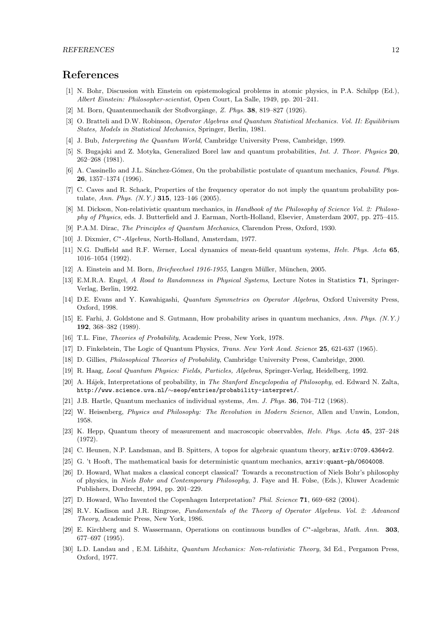### References

- [1] N. Bohr, Discussion with Einstein on epistemological problems in atomic physics, in P.A. Schilpp (Ed.), Albert Einstein: Philosopher-scientist, Open Court, La Salle, 1949, pp. 201–241.
- [2] M. Born, Quantenmechanik der Stoßvorgänge, Z. Phys. 38, 819–827 (1926).
- [3] O. Bratteli and D.W. Robinson, Operator Algebras and Quantum Statistical Mechanics. Vol. II: Equilibrium States, Models in Statistical Mechanics, Springer, Berlin, 1981.
- [4] J. Bub, Interpreting the Quantum World, Cambridge University Press, Cambridge, 1999.
- [5] S. Bugajski and Z. Motyka, Generalized Borel law and quantum probabilities, Int. J. Theor. Physics 20, 262–268 (1981).
- [6] A. Cassinello and J.L. Sánchez-Gómez, On the probabilistic postulate of quantum mechanics, Found. Phys. 26, 1357–1374 (1996).
- [7] C. Caves and R. Schack, Properties of the frequency operator do not imply the quantum probability postulate, Ann. Phys. (N.Y.) 315, 123–146 (2005).
- [8] M. Dickson, Non-relativistic quantum mechanics, in Handbook of the Philosophy of Science Vol. 2: Philosophy of Physics, eds. J. Butterfield and J. Earman, North-Holland, Elsevier, Amsterdam 2007, pp. 275–415.
- [9] P.A.M. Dirac, The Principles of Quantum Mechanics, Clarendon Press, Oxford, 1930.
- [10] J. Dixmier,  $C^*$ -Algebras, North-Holland, Amsterdam, 1977.
- [11] N.G. Duffield and R.F. Werner, Local dynamics of mean-field quantum systems, *Helv. Phys. Acta* 65. 1016–1054 (1992).
- [12] A. Einstein and M. Born, *Briefwechsel 1916-1955*, Langen Müller, München, 2005.
- [13] E.M.R.A. Engel, A Road to Randomness in Physical Systems, Lecture Notes in Statistics 71, Springer-Verlag, Berlin, 1992.
- [14] D.E. Evans and Y. Kawahigashi, Quantum Symmetries on Operator Algebras, Oxford University Press, Oxford, 1998.
- [15] E. Farhi, J. Goldstone and S. Gutmann, How probability arises in quantum mechanics, Ann. Phys. (N.Y.) 192, 368–382 (1989).
- [16] T.L. Fine, Theories of Probability, Academic Press, New York, 1978.
- [17] D. Finkelstein, The Logic of Quantum Physics, *Trans. New York Acad. Science* 25, 621-637 (1965).
- [18] D. Gillies, Philosophical Theories of Probability, Cambridge University Press, Cambridge, 2000.
- [19] R. Haag, Local Quantum Physics: Fields, Particles, Algebras, Springer-Verlag, Heidelberg, 1992.
- [20] A. Hájek, Interpretations of probability, in The Stanford Encyclopedia of Philosophy, ed. Edward N. Zalta, http://www.science.uva.nl/∼seop/entries/probability-interpret/.
- [21] J.B. Hartle, Quantum mechanics of individual systems, Am. J. Phys. 36, 704–712 (1968).
- [22] W. Heisenberg, *Physics and Philosophy: The Revolution in Modern Science*, Allen and Unwin, London, 1958.
- [23] K. Hepp, Quantum theory of measurement and macroscopic observables, Helv. Phys. Acta 45, 237–248 (1972).
- [24] C. Heunen, N.P. Landsman, and B. Spitters, A topos for algebraic quantum theory, arXiv:0709.4364v2.
- [25] G. 't Hooft, The mathematical basis for deterministic quantum mechanics, arxiv:quant-ph/0604008.
- [26] D. Howard, What makes a classical concept classical? Towards a reconstruction of Niels Bohr's philosophy of physics, in Niels Bohr and Contemporary Philosophy, J. Faye and H. Folse, (Eds.), Kluwer Academic Publishers, Dordrecht, 1994, pp. 201–229.
- [27] D. Howard, Who Invented the Copenhagen Interpretation? Phil. Science 71, 669–682 (2004).
- [28] R.V. Kadison and J.R. Ringrose, Fundamentals of the Theory of Operator Algebras. Vol. 2: Advanced Theory, Academic Press, New York, 1986.
- [29] E. Kirchberg and S. Wassermann, Operations on continuous bundles of C<sup>\*</sup>-algebras, Math. Ann. 303, 677–697 (1995).
- [30] L.D. Landau and , E.M. Lifshitz, Quantum Mechanics: Non-relativistic Theory, 3d Ed., Pergamon Press, Oxford, 1977.